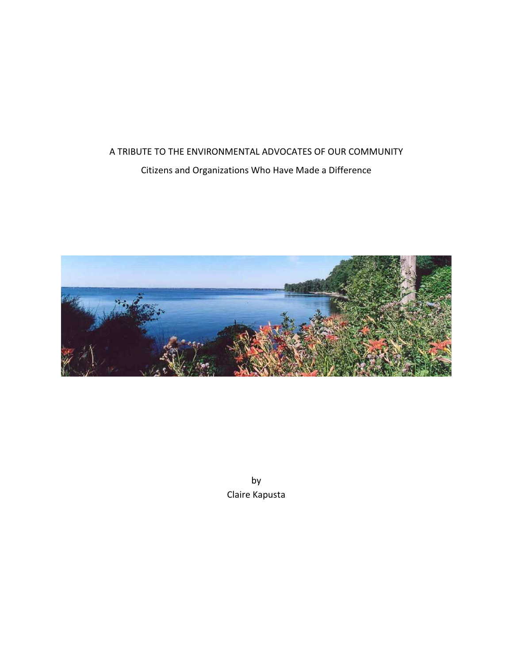# A TRIBUTE TO THE ENVIRONMENTAL ADVOCATES OF OUR COMMUNITY Citizens and Organizations Who Have Made a Difference



by Claire Kapusta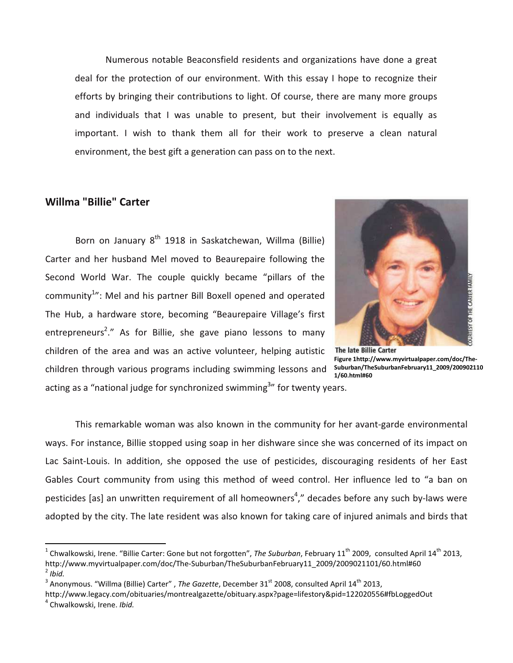Numerous notable Beaconsfield residents and organizations have done a great deal for the protection of our environment. With this essay I hope to recognize their efforts by bringing their contributions to light. Of course, there are many more groups and individuals that I was unable to present, but their involvement is equally as important. I wish to thank them all for their work to preserve a clean natural environment, the best gift a generation can pass on to the next.

## Willma "Billie" Carter

Born on January 8<sup>th</sup> 1918 in Saskatchewan, Willma (Billie) Carter and her husband Mel moved to Beaurepaire following the Second World War. The couple quickly became "pillars of the community<sup>1</sup>": Mel and his partner Bill Boxell opened and operated The Hub, a hardware store, becoming "Beaurepaire Village's first entrepreneurs<sup>2</sup>." As for Billie, she gave piano lessons to many children of the area and was an active volunteer, helping autistic children through various programs including swimming lessons and acting as a "national judge for synchronized swimming<sup>3</sup>" for twenty years.



**The late Billie Carter** Figure 1http://www.myvirtualpaper.com/doc/The-Suburban/TheSuburbanFebruary11\_2009/200902110 1/60.html#60

 This remarkable woman was also known in the community for her avant-garde environmental ways. For instance, Billie stopped using soap in her dishware since she was concerned of its impact on Lac Saint-Louis. In addition, she opposed the use of pesticides, discouraging residents of her East Gables Court community from using this method of weed control. Her influence led to "a ban on pesticides [as] an unwritten requirement of all homeowners<sup>4</sup>," decades before any such by-laws were adopted by the city. The late resident was also known for taking care of injured animals and birds that

 $\overline{a}$ 

<sup>&</sup>lt;sup>1</sup> Chwalkowski, Irene. "Billie Carter: Gone but not forgotten", The Suburban, February 11<sup>th</sup> 2009, consulted April 14<sup>th</sup> 2013, http://www.myvirtualpaper.com/doc/The-Suburban/TheSuburbanFebruary11\_2009/2009021101/60.html#60  $2$  Ibid.

<sup>&</sup>lt;sup>3</sup> Anonymous. "Willma (Billie) Carter", The Gazette, December 31<sup>st</sup> 2008, consulted April 14<sup>th</sup> 2013,

http://www.legacy.com/obituaries/montrealgazette/obituary.aspx?page=lifestory&pid=122020556#fbLoggedOut

<sup>4</sup> Chwalkowski, Irene. Ibid.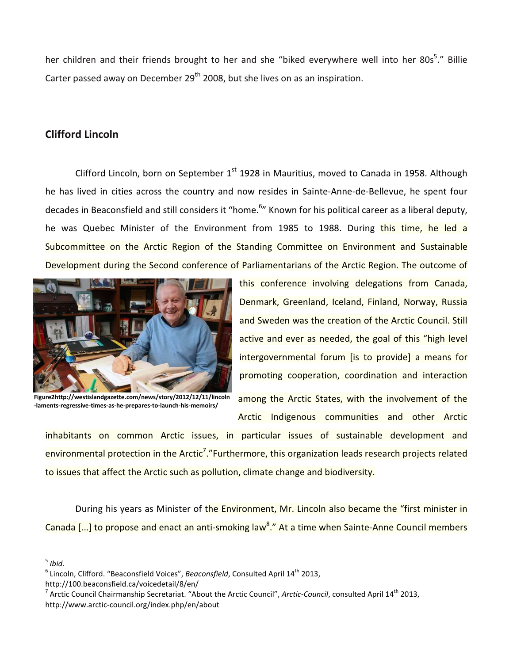her children and their friends brought to her and she "biked everywhere well into her 80s<sup>5</sup>." Billie Carter passed away on December  $29<sup>th</sup>$  2008, but she lives on as an inspiration.

# Clifford Lincoln

Clifford Lincoln, born on September  $1<sup>st</sup>$  1928 in Mauritius, moved to Canada in 1958. Although he has lived in cities across the country and now resides in Sainte-Anne-de-Bellevue, he spent four decades in Beaconsfield and still considers it "home.<sup>6</sup>" Known for his political career as a liberal deputy, he was Quebec Minister of the Environment from 1985 to 1988. During this time, he led a Subcommittee on the Arctic Region of the Standing Committee on Environment and Sustainable Development during the Second conference of Parliamentarians of the Arctic Region. The outcome of



Figure2http://westislandgazette.com/news/story/2012/12/11/lincoln -laments-regressive-times-as-he-prepares-to-launch-his-memoirs/

this conference involving delegations from Canada, Denmark, Greenland, Iceland, Finland, Norway, Russia and Sweden was the creation of the Arctic Council. Still active and ever as needed, the goal of this "high level intergovernmental forum [is to provide] a means for promoting cooperation, coordination and interaction

among the Arctic States, with the involvement of the Arctic Indigenous communities and other Arctic

inhabitants on common Arctic issues, in particular issues of sustainable development and environmental protection in the Arctic<sup>7</sup>."Furthermore, this organization leads research projects related to issues that affect the Arctic such as pollution, climate change and biodiversity.

During his years as Minister of the Environment, Mr. Lincoln also became the "first minister in Canada [...] to propose and enact an anti-smoking law<sup>8</sup>." At a time when Sainte-Anne Council members

 $\overline{a}$ 

 $<sup>5</sup>$  Ibid.</sup>

 $^6$  Lincoln, Clifford. "Beaconsfield Voices", Beaconsfield, Consulted April 14<sup>th</sup> 2013,

http://100.beaconsfield.ca/voicedetail/8/en/

<sup>&</sup>lt;sup>7</sup> Arctic Council Chairmanship Secretariat. "About the Arctic Council", Arctic-Council, consulted April 14<sup>th</sup> 2013, http://www.arctic-council.org/index.php/en/about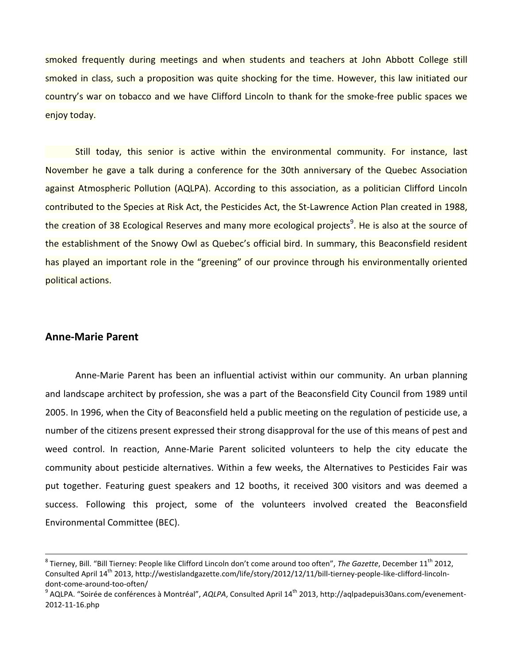smoked frequently during meetings and when students and teachers at John Abbott College still smoked in class, such a proposition was quite shocking for the time. However, this law initiated our country's war on tobacco and we have Clifford Lincoln to thank for the smoke-free public spaces we enjoy today.

 Still today, this senior is active within the environmental community. For instance, last November he gave a talk during a conference for the 30th anniversary of the Quebec Association against Atmospheric Pollution (AQLPA). According to this association, as a politician Clifford Lincoln contributed to the Species at Risk Act, the Pesticides Act, the St-Lawrence Action Plan created in 1988, the creation of 38 Ecological Reserves and many more ecological projects<sup>9</sup>. He is also at the source of the establishment of the Snowy Owl as Quebec's official bird. In summary, this Beaconsfield resident has played an important role in the "greening" of our province through his environmentally oriented political actions.

#### Anne-Marie Parent

 $\overline{a}$ 

 Anne-Marie Parent has been an influential activist within our community. An urban planning and landscape architect by profession, she was a part of the Beaconsfield City Council from 1989 until 2005. In 1996, when the City of Beaconsfield held a public meeting on the regulation of pesticide use, a number of the citizens present expressed their strong disapproval for the use of this means of pest and weed control. In reaction, Anne-Marie Parent solicited volunteers to help the city educate the community about pesticide alternatives. Within a few weeks, the Alternatives to Pesticides Fair was put together. Featuring guest speakers and 12 booths, it received 300 visitors and was deemed a success. Following this project, some of the volunteers involved created the Beaconsfield Environmental Committee (BEC).

 $^8$  Tierney, Bill. "Bill Tierney: People like Clifford Lincoln don't come around too often", *The Gazette*, December 11<sup>th</sup> 2012, Consulted April 14<sup>th</sup> 2013, http://westislandgazette.com/life/story/2012/12/11/bill-tierney-people-like-clifford-lincolndont-come-around-too-often/

<sup>&</sup>lt;sup>9</sup> AQLPA. "Soirée de conférences à Montréal", AQLPA, Consulted April 14<sup>th</sup> 2013, http://aqlpadepuis30ans.com/evenement-2012-11-16.php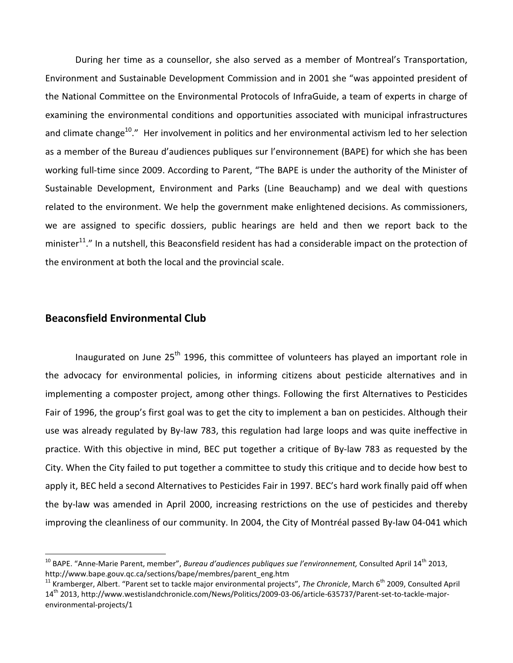During her time as a counsellor, she also served as a member of Montreal's Transportation, Environment and Sustainable Development Commission and in 2001 she "was appointed president of the National Committee on the Environmental Protocols of InfraGuide, a team of experts in charge of examining the environmental conditions and opportunities associated with municipal infrastructures and climate change<sup>10</sup>." Her involvement in politics and her environmental activism led to her selection as a member of the Bureau d'audiences publiques sur l'environnement (BAPE) for which she has been working full-time since 2009. According to Parent, "The BAPE is under the authority of the Minister of Sustainable Development, Environment and Parks (Line Beauchamp) and we deal with questions related to the environment. We help the government make enlightened decisions. As commissioners, we are assigned to specific dossiers, public hearings are held and then we report back to the minister<sup>11</sup>." In a nutshell, this Beaconsfield resident has had a considerable impact on the protection of the environment at both the local and the provincial scale.

## Beaconsfield Environmental Club

 $\overline{a}$ 

Inaugurated on June  $25<sup>th</sup>$  1996, this committee of volunteers has played an important role in the advocacy for environmental policies, in informing citizens about pesticide alternatives and in implementing a composter project, among other things. Following the first Alternatives to Pesticides Fair of 1996, the group's first goal was to get the city to implement a ban on pesticides. Although their use was already regulated by By-law 783, this regulation had large loops and was quite ineffective in practice. With this objective in mind, BEC put together a critique of By-law 783 as requested by the City. When the City failed to put together a committee to study this critique and to decide how best to apply it, BEC held a second Alternatives to Pesticides Fair in 1997. BEC's hard work finally paid off when the by-law was amended in April 2000, increasing restrictions on the use of pesticides and thereby improving the cleanliness of our community. In 2004, the City of Montréal passed By-law 04-041 which

<sup>&</sup>lt;sup>10</sup> BAPE. "Anne-Marie Parent, member", Bureau d'audiences publiques sue l'environnement, Consulted April 14<sup>th</sup> 2013, http://www.bape.gouv.qc.ca/sections/bape/membres/parent\_eng.htm

 $11$  Kramberger, Albert. "Parent set to tackle major environmental projects", The Chronicle, March 6<sup>th</sup> 2009, Consulted April 14th 2013, http://www.westislandchronicle.com/News/Politics/2009-03-06/article-635737/Parent-set-to-tackle-majorenvironmental-projects/1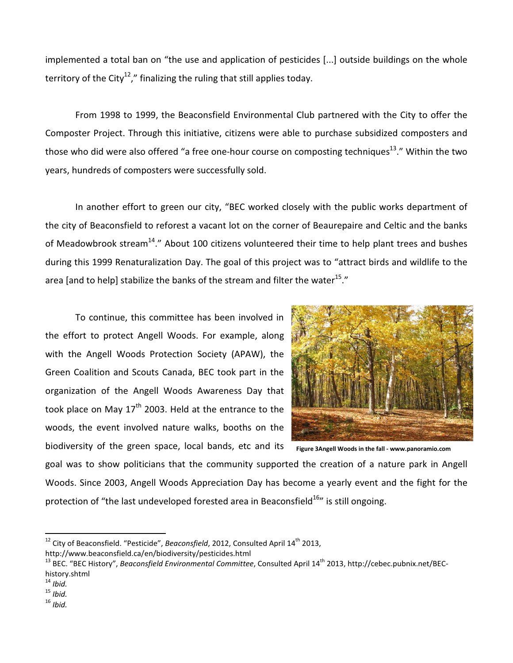implemented a total ban on "the use and application of pesticides [...] outside buildings on the whole territory of the City<sup>12</sup>," finalizing the ruling that still applies today.

 From 1998 to 1999, the Beaconsfield Environmental Club partnered with the City to offer the Composter Project. Through this initiative, citizens were able to purchase subsidized composters and those who did were also offered "a free one-hour course on composting techniques $^{13}$ ." Within the two years, hundreds of composters were successfully sold.

 In another effort to green our city, "BEC worked closely with the public works department of the city of Beaconsfield to reforest a vacant lot on the corner of Beaurepaire and Celtic and the banks of Meadowbrook stream<sup>14</sup>." About 100 citizens volunteered their time to help plant trees and bushes during this 1999 Renaturalization Day. The goal of this project was to "attract birds and wildlife to the area [and to help] stabilize the banks of the stream and filter the water<sup>15</sup>."

 To continue, this committee has been involved in the effort to protect Angell Woods. For example, along with the Angell Woods Protection Society (APAW), the Green Coalition and Scouts Canada, BEC took part in the organization of the Angell Woods Awareness Day that took place on May  $17<sup>th</sup>$  2003. Held at the entrance to the woods, the event involved nature walks, booths on the biodiversity of the green space, local bands, etc and its



Figure 3Angell Woods in the fall - www.panoramio.com

goal was to show politicians that the community supported the creation of a nature park in Angell Woods. Since 2003, Angell Woods Appreciation Day has become a yearly event and the fight for the protection of "the last undeveloped forested area in Beaconsfield<sup>16</sup>" is still ongoing.

 $\overline{a}$ 

 $12$  City of Beaconsfield. "Pesticide", Beaconsfield, 2012, Consulted April 14<sup>th</sup> 2013,

http://www.beaconsfield.ca/en/biodiversity/pesticides.html

<sup>&</sup>lt;sup>13</sup> BEC. "BEC History", Beaconsfield Environmental Committee, Consulted April 14<sup>th</sup> 2013, http://cebec.pubnix.net/BEChistory.shtml

 $14$  Ibid.

 $15$  Ibid.

 $16$  Ibid.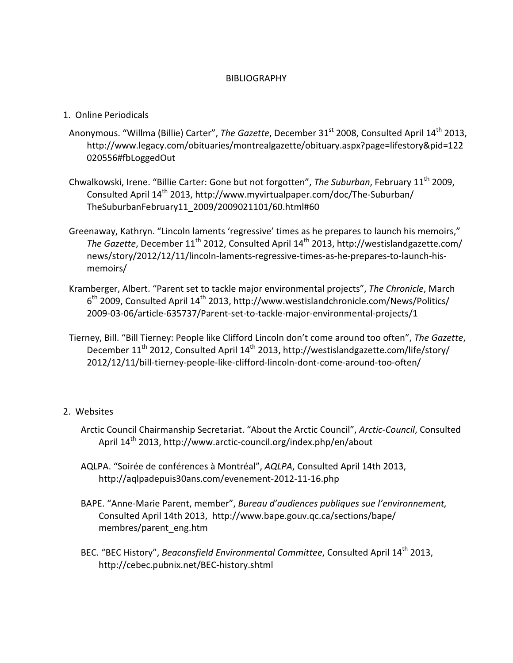#### **BIBLIOGRAPHY**

- 1. Online Periodicals
- Anonymous. "Willma (Billie) Carter", The Gazette, December 31<sup>st</sup> 2008, Consulted April 14<sup>th</sup> 2013, http://www.legacy.com/obituaries/montrealgazette/obituary.aspx?page=lifestory&pid=122 020556#fbLoggedOut
- Chwalkowski, Irene. "Billie Carter: Gone but not forgotten", The Suburban, February 11<sup>th</sup> 2009, Consulted April 14<sup>th</sup> 2013, http://www.myvirtualpaper.com/doc/The-Suburban/ TheSuburbanFebruary11\_2009/2009021101/60.html#60
- Greenaway, Kathryn. "Lincoln laments 'regressive' times as he prepares to launch his memoirs," The Gazette, December 11<sup>th</sup> 2012, Consulted April 14<sup>th</sup> 2013, http://westislandgazette.com/ news/story/2012/12/11/lincoln-laments-regressive-times-as-he-prepares-to-launch-hismemoirs/
- Kramberger, Albert. "Parent set to tackle major environmental projects", The Chronicle, March 6<sup>th</sup> 2009, Consulted April 14<sup>th</sup> 2013, http://www.westislandchronicle.com/News/Politics/ 2009-03-06/article-635737/Parent-set-to-tackle-major-environmental-projects/1
- Tierney, Bill. "Bill Tierney: People like Clifford Lincoln don't come around too often", The Gazette, December 11<sup>th</sup> 2012, Consulted April 14<sup>th</sup> 2013, http://westislandgazette.com/life/story/ 2012/12/11/bill-tierney-people-like-clifford-lincoln-dont-come-around-too-often/

#### 2. Websites

- Arctic Council Chairmanship Secretariat. "About the Arctic Council", Arctic-Council, Consulted April 14<sup>th</sup> 2013, http://www.arctic-council.org/index.php/en/about
- AQLPA. "Soirée de conférences à Montréal", AQLPA, Consulted April 14th 2013, http://aqlpadepuis30ans.com/evenement-2012-11-16.php
- BAPE. "Anne-Marie Parent, member", Bureau d'audiences publiques sue l'environnement, Consulted April 14th 2013, http://www.bape.gouv.qc.ca/sections/bape/ membres/parent\_eng.htm
- BEC. "BEC History", Beaconsfield Environmental Committee, Consulted April 14<sup>th</sup> 2013. http://cebec.pubnix.net/BEC-history.shtml